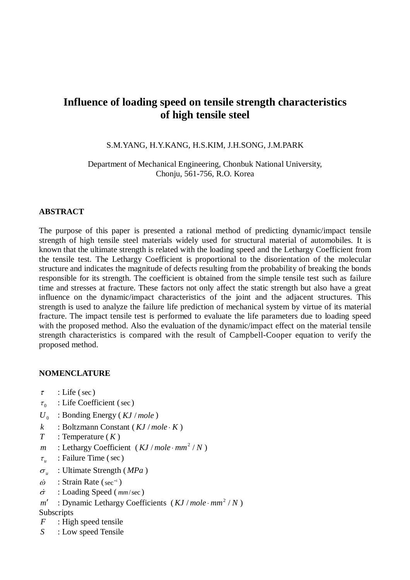# **Influence of loading speed on tensile strength characteristics of high tensile steel**

## S.M.YANG, H.Y.KANG, H.S.KIM, J.H.SONG, J.M.PARK

Department of Mechanical Engineering, Chonbuk National University, Chonju, 561-756, R.O. Korea

#### **ABSTRACT**

The purpose of this paper is presented a rational method of predicting dynamic/impact tensile strength of high tensile steel materials widely used for structural material of automobiles. It is known that the ultimate strength is related with the loading speed and the Lethargy Coefficient from the tensile test. The Lethargy Coefficient is proportional to the disorientation of the molecular structure and indicates the magnitude of defects resulting from the probability of breaking the bonds responsible for its strength. The coefficient is obtained from the simple tensile test such as failure time and stresses at fracture. These factors not only affect the static strength but also have a great influence on the dynamic/impact characteristics of the joint and the adjacent structures. This strength is used to analyze the failure life prediction of mechanical system by virtue of its material fracture. The impact tensile test is performed to evaluate the life parameters due to loading speed with the proposed method. Also the evaluation of the dynamic/impact effect on the material tensile strength characteristics is compared with the result of Campbell-Cooper equation to verify the proposed method.

#### **NOMENCLATURE**

- $\tau$  : Life (sec)
- $\tau_0$  : Life Coefficient (sec)
- $U_0$ : Bonding Energy (*KJ* / *mole*)
- $k$  : Boltzmann Constant ( $KJ/mole$   $K$ )
- $T$  : Temperature  $(K)$
- *k* : Boltzmann Constant ( *KJ / mole* · *K* )<br> *T* : Temperature ( *K* )<br> *m* : Lethargy Coefficient ( *KJ / mole* · *mm*<sup>2</sup> / *N* )
- $\tau_u$  : Failure Time (sec)
- $\sigma_{\nu}$  : Ultimate Strength (*MPa*)
- $T$  : Temperature (*K*)<br>  $m$  : Lethargy Coefficie<br>  $\tau_u$  : Failure Time (sec  $\sigma_u$  : Ultimate Strength<br>  $\dot{\omega}$  : Strain Rate (sec<sup>-1</sup>)
- *m* : Lethargy Coefficient (*K*<br>  $\tau_u$  : Failure Time (sec)<br>  $\sigma_u$  : Ultimate Strength (*MPa*<br>  $\dot{\omega}$  : Strain Rate (sec<sup>-1</sup>)<br>  $\dot{\sigma}$  : Loading Speed (*mm/sec*)
- $\sigma$  : Loading Speed ( $mm/sec$ )<br>*m'* : Dynamic Lethargy Coefficients (*KJ* / *mole*  $mm^2$  / *N*)

## **Subscripts**

- *F* : High speed tensile
- *S* : Low speed Tensile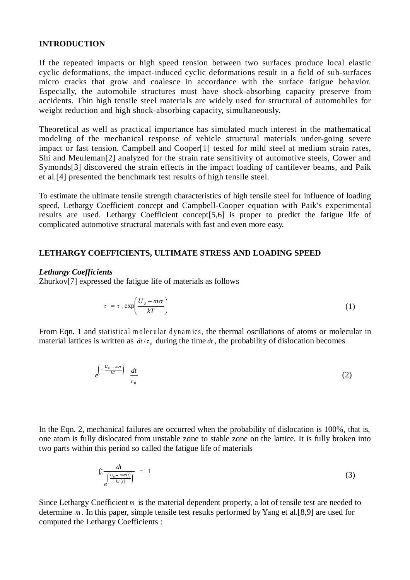## **INTRODUCTION**

If the repeated impacts or high speed tension between two surfaces produce local elastic cyclic deformations, the impact-induced cyclic deformations result in a field of sub-surfaces micro cracks that grow and coalesce in accordance with the surface fatigue behavior. Especially, the automobile structures must have shock-absorbing capacity preserve from accidents. Thin high tensile steel materials are widely used for structural of automobiles for weight reduction and high shock-absorbing capacity, simultaneously.

Theoretical as well as practical importance has simulated much interest in the mathematical modeling of the mechanical response of vehicle structural materials under-going severe impact or fast tension. Campbell and Cooper[1] tested for mild steel at medium strain rates, Shi and Meuleman[2] analyzed for the strain rate sensitivity of automotive steels, Cower and Symonds[3] discovered the strain effects in the impact loading of cantilever beams, and Paik et al.[4] presented the benchmark test results of high tensile steel.

To estimate the ultimate tensile strength characteristics of high tensile steel for influence of loading speed, Lethargy Coefficient concept and Campbell-Cooper equation with Paik's experimental results are used. Lethargy Coefficient concept[5,6] is proper to predict the fatigue life of complicated automotive structural materials with fast and even more easy.

## **LETHARGY COEFFICIENTS, ULTIMATE STRESS AND LOADING SPEED**

#### *Lethargy Coefficients*

Zhurkov[7] expressed the fatigue life of materials as follows

$$
\tau = \tau_0 \exp\left(\frac{U_0 - m\sigma}{kT}\right) \tag{1}
$$

From Eqn. 1 and statistical molecular dynamics, the thermal oscillations of atoms or molecular in material lattices is written as  $dt / \tau_0$  during the time  $dt$ , the probability of dislocation becomes

$$
e^{\left(-\frac{U_0 - m\sigma}{kT}\right)} \frac{dt}{\tau_0} \tag{2}
$$

In the Eqn. 2, mechanical failures are occurred when the probability of dislocation is 100%, that is, one atom is fully dislocated from unstable zone to stable zone on the lattice. It is fully broken into two parts within this period so called the fatigue life of materials

$$
\int_0^{\tau} \frac{dt}{e^{\left(\frac{U_0 - m\sigma(t)}{kT(t)}\right)}} = 1 \tag{3}
$$

Since Lethargy Coefficient *m* is the material dependent property, a lot of tensile test are needed to determine *m* . In this paper, simple tensile test results performed by Yang et al.[8,9] are used for computed the Lethargy Coefficients :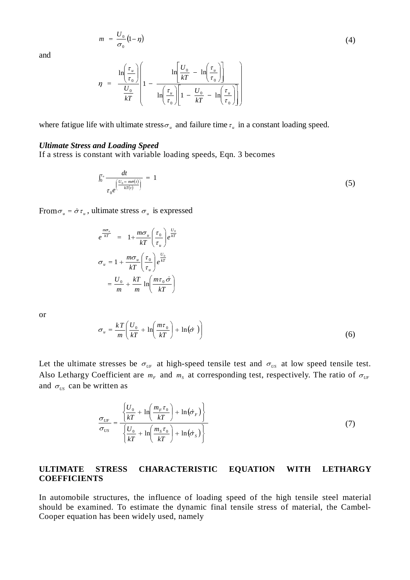$$
m = \frac{U_0}{\sigma_0} (1 - \eta) \tag{4}
$$

and

$$
\eta = \frac{\ln\left(\frac{\tau_u}{\tau_0}\right)}{\frac{U_0}{kT}} \left(1 - \frac{\ln\left[\frac{U_0}{kT} - \ln\left(\frac{\tau_u}{\tau_0}\right)\right]}{\ln\left(\frac{\tau_u}{\tau_0}\right)\left[1 - \frac{U_0}{kT} - \ln\left(\frac{\tau_u}{\tau_0}\right)\right]}\right)
$$

where fatigue life with ultimate stress  $\sigma_{\mu}$  and failure time  $\tau_{\mu}$  in a constant loading speed.

#### *Ultimate Stress and Loading Speed*

If a stress is constant with variable loading speeds, Eqn. 3 becomes

$$
\int_0^{\tau_u} \frac{dt}{\tau_0 e^{\left(\frac{U_0 - m\sigma(t)}{kT(t)}\right)}} = 1 \tag{5}
$$

From  $\sigma_u = \dot{\sigma} \tau_u$ , ultimate stress  $\sigma_u$  is expressed

$$
e^{\frac{m\sigma_u}{kT}} = 1 + \frac{m\sigma_u}{kT} \left(\frac{\tau_0}{\tau_u}\right) e^{\frac{U_0}{kT}}
$$
  

$$
\sigma_u = 1 + \frac{m\sigma_u}{kT} \left(\frac{\tau_0}{\tau_u}\right) e^{\frac{U_0}{kT}}
$$
  

$$
= \frac{U_0}{m} + \frac{kT}{m} \ln \left(\frac{m\tau_0}{kT}\right)
$$

or

$$
m \qquad m \qquad kT \qquad J
$$

$$
\sigma_u = \frac{kT}{m} \left( \frac{U_0}{kT} + \ln \left( \frac{m\tau_0}{kT} \right) + \ln(\dot{\sigma}) \right) \tag{6}
$$

Let the ultimate stresses be  $\sigma_{\text{UF}}$  at high-speed tensile test and  $\sigma_{\text{US}}$  at low speed tensile test. Also Lethargy Coefficient are  $m_F$  and  $m_S$  at corresponding test, respectively. The ratio of  $\sigma_{UF}$ and  $\sigma_{\scriptscriptstyle US}$  can be written as

$$
\frac{\sigma_{UF}}{\sigma_{US}} = \frac{\left\{ \frac{U_0}{kT} + \ln\left(\frac{m_F \tau_0}{kT}\right) + \ln(\dot{\sigma}_F) \right\}}{\left\{ \frac{U_0}{kT} + \ln\left(\frac{m_S \tau_0}{kT}\right) + \ln(\dot{\sigma}_S) \right\}}
$$
(7)

## **ULTIMATE STRESS CHARACTERISTIC EQUATION WITH LETHARGY COEFFICIENTS**

In automobile structures, the influence of loading speed of the high tensile steel material should be examined. To estimate the dynamic final tensile stress of material, the Cambel-Cooper equation has been widely used, namely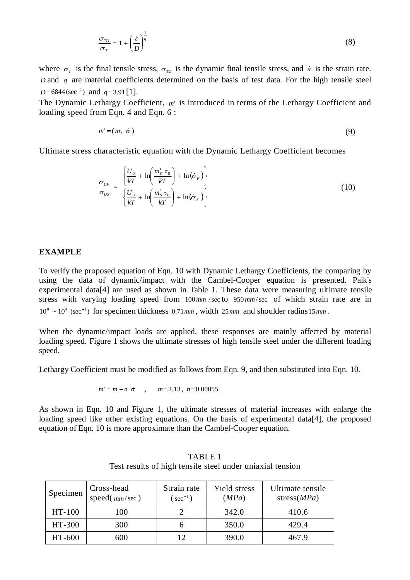$$
\frac{\sigma_{TD}}{\sigma_T} = 1 + \left(\frac{\dot{\varepsilon}}{D}\right)^{\frac{1}{q}}
$$
\n(8)

where  $\sigma_{\tau}$  is the final tensile stress,  $\sigma_{\tau}$  is the dynamic final tensile stress, and  $\epsilon$  is the strain rate. *D* and *q* are material coefficients determined on the basis of test data. For the high tensile steel  $D = 6844$ (sec<sup>-1</sup>) and  $q = 3.91$  [1].

The Dynamic Lethargy Coefficient, *m*' is introduced in terms of the Lethargy Coefficient and loading speed from Eqn. 4 and Eqn. 6 : 1  $q = 3.91$ [1].<br>thargy Coefficient, m' is introduced in terms of the Lethargy Coefficient<br>om Eqn. 4 and Eqn. 6:<br> $m' = (m, \dot{\sigma})$  (9)

$$
m' = (m, \sigma) \tag{9}
$$

Ultimate stress characteristic equation with the Dynamic Lethargy Coefficient becomes

$$
\frac{\sigma_{\scriptscriptstyle UF}}{\sigma_{\scriptscriptstyle US}} = \frac{\left\{ \frac{U_0}{kT} + \ln\left(\frac{m'_{\scriptscriptstyle F}}{kT}\right) + \ln\left(\dot{\sigma}_{\scriptscriptstyle F}\right) \right\}}{\left\{ \frac{U_0}{kT} + \ln\left(\frac{m'_{\scriptscriptstyle S}}{kT}\right) + \ln\left(\dot{\sigma}_{\scriptscriptstyle S}\right) \right\}}
$$
\n(10)

#### **EXAMPLE**

To verify the proposed equation of Eqn. 10 with Dynamic Lethargy Coefficients, the comparing by using the data of dynamic/impact with the Cambel-Cooper equation is presented. Paik's experimental data[4] are used as shown in Table 1. These data were measuring ultimate tensile<br>stress with varying loading speed from  $100mm/sec$  to  $950mm/sec$  of which strain rate are in<br> $10^{\circ} \sim 10^4$  (sec<sup>-1</sup>) for specimen th stress with varying loading speed from 100*mm* /sec to 950*mm*/sec of which strain rate are in

When the dynamic/impact loads are applied, these responses are mainly affected by material loading speed. Figure 1 shows the ultimate stresses of high tensile steel under the different loading speed.

Lethargy Coefficient must be modified as follows from Eqn. 9, and then substituted into Eqn. 10. ent must be modified as follows from<br> $m' = m - n \, \dot{\sigma}$ ,  $m = 2.13$ ,  $n = 0.00055$ 

$$
m' = m - n \space \sigma
$$
,  $m = 2.13$ ,  $n = 0.00055$ 

As shown in Eqn. 10 and Figure 1, the ultimate stresses of material increases with enlarge the loading speed like other existing equations. On the basis of experimental data[4], the proposed equation of Eqn. 10 is more approximate than the Cambel-Cooper equation.

| Specimen | Cross-head<br>speed $\left(\frac{mm}{sec}\right)$ | Strain rate<br>$(\sec^{-1})$ | Yield stress<br>(MPa) | Ultimate tensile<br>stress $(MPa)$ |
|----------|---------------------------------------------------|------------------------------|-----------------------|------------------------------------|
| HT-100   | 100                                               |                              | 342.0                 | 410.6                              |
| HT-300   | 300                                               |                              | 350.0                 | 429.4                              |
| HT-600   | 600                                               |                              | 390.0                 | 467.9                              |

TABLE 1 Test results of high tensile steel under uniaxial tension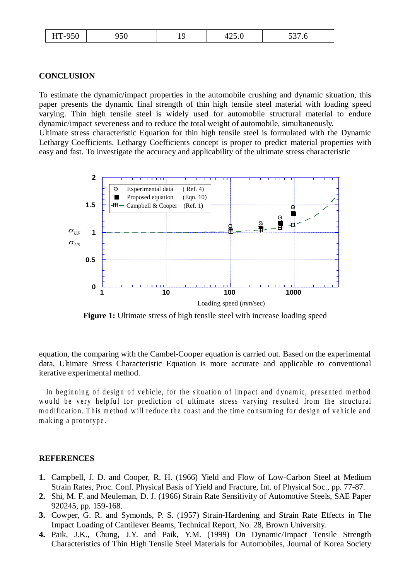| HT-950 | 950 |  | 425.0 | 537.6 |
|--------|-----|--|-------|-------|
|--------|-----|--|-------|-------|

#### **CONCLUSION**

To estimate the dynamic/impact properties in the automobile crushing and dynamic situation, this paper presents the dynamic final strength of thin high tensile steel material with loading speed varying. Thin high tensile steel is widely used for automobile structural material to endure dynamic/impact severeness and to reduce the total weight of automobile, simultaneously. Ultimate stress characteristic Equation for thin high tensile steel is formulated with the Dynamic

Lethargy Coefficients. Lethargy Coefficients concept is proper to predict material properties with easy and fast. To investigate the accuracy and applicability of the ultimate stress characteristic



**Figure 1:** Ultimate stress of high tensile steel with increase loading speed

equation, the comparing with the Cambel-Cooper equation is carried out. Based on the experimental data, Ultimate Stress Characteristic Equation is more accurate and applicable to conventional iterative experimental method.

In beginning of design of vehicle, for the situation of impact and dynamic, presented method would be very helpful for prediction of ultimate stress varying resulted from the structural modification. This method will reduce the coast and the time consuming for design of vehicle and m ak ing a prototype.

## **REFERENCES**

- **1.** Campbell, J. D. and Cooper, R. H. (1966) Yield and Flow of Low-Carbon Steel at Medium Strain Rates, Proc. Conf. Physical Basis of Yield and Fracture, Int. of Physical Soc., pp. 77-87.
- **2.** Shi, M. F. and Meuleman, D. J. (1966) Strain Rate Sensitivity of Automotive Steels, SAE Paper 920245, pp. 159-168.
- **3.** Cowper, G. R. and Symonds, P. S. (1957) Strain-Hardening and Strain Rate Effects in The Impact Loading of Cantilever Beams, Technical Report, No. 28, Brown University.
- **4.** Paik, J.K., Chung, J.Y. and Paik, Y.M. (1999) On Dynamic/Impact Tensile Strength Characteristics of Thin High Tensile Steel Materials for Automobiles, Journal of Korea Society